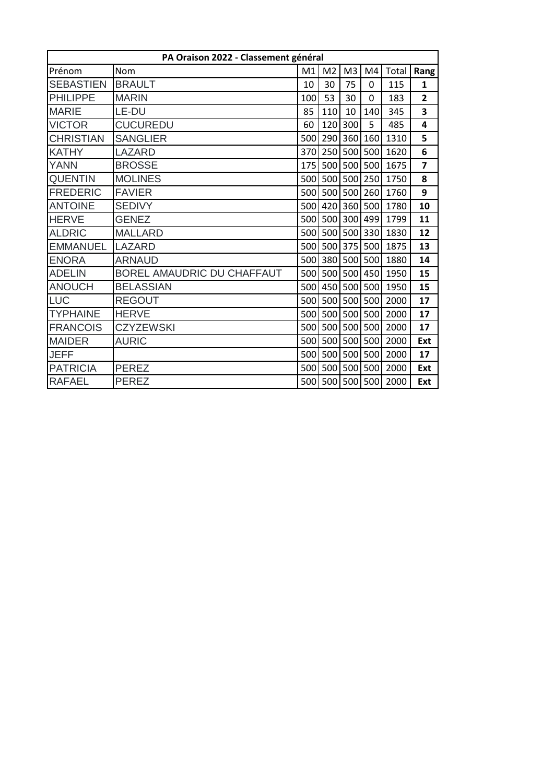| PA Oraison 2022 - Classement général |                            |     |                |                |                 |       |                |  |  |  |
|--------------------------------------|----------------------------|-----|----------------|----------------|-----------------|-------|----------------|--|--|--|
| Prénom                               | Nom                        | M1  | M <sub>2</sub> | M <sub>3</sub> | M4              | Total | <b>Rang</b>    |  |  |  |
| <b>SEBASTIEN</b>                     | <b>BRAULT</b>              | 10  | 30             | 75             | 0               | 115   | $\mathbf{1}$   |  |  |  |
| <b>PHILIPPE</b>                      | <b>MARIN</b>               | 100 | 53             | 30             | 0               | 183   | $\overline{2}$ |  |  |  |
| <b>MARIE</b>                         | LE-DU                      | 85  | 110            | 10             | 140             | 345   | 3              |  |  |  |
| <b>VICTOR</b>                        | <b>CUCUREDU</b>            | 60  | 120            | 300            | 5               | 485   | 4              |  |  |  |
| <b>CHRISTIAN</b>                     | <b>SANGLIER</b>            | 500 | 290            | 360            | 160             | 1310  | 5              |  |  |  |
| <b>KATHY</b>                         | LAZARD                     | 370 |                |                | 250 500 500     | 1620  | 6              |  |  |  |
| <b>YANN</b>                          | <b>BROSSE</b>              | 175 | 500            | 500            | 500             | 1675  | $\overline{7}$ |  |  |  |
| <b>QUENTIN</b>                       | <b>MOLINES</b>             | 500 | 500            | 500            | 250             | 1750  | 8              |  |  |  |
| <b>FREDERIC</b>                      | <b>FAVIER</b>              | 500 | 500            | 500            | 260             | 1760  | 9              |  |  |  |
| <b>ANTOINE</b>                       | <b>SEDIVY</b>              | 500 | 420            | 360            | 500             | 1780  | 10             |  |  |  |
| <b>HERVE</b>                         | <b>GENEZ</b>               | 500 | 500            | 300            | 499             | 1799  | 11             |  |  |  |
| <b>ALDRIC</b>                        | <b>MALLARD</b>             | 500 |                | 500 500        | 330             | 1830  | 12             |  |  |  |
| <b>EMMANUEL</b>                      | <b>LAZARD</b>              | 500 |                | 500 375        | 500             | 1875  | 13             |  |  |  |
| <b>ENORA</b>                         | <b>ARNAUD</b>              | 500 |                |                | 380 500 500     | 1880  | 14             |  |  |  |
| <b>ADELIN</b>                        | BOREL AMAUDRIC DU CHAFFAUT | 500 |                |                | 500 500 450     | 1950  | 15             |  |  |  |
| <b>ANOUCH</b>                        | <b>BELASSIAN</b>           | 500 |                | 450 500        | 500             | 1950  | 15             |  |  |  |
| <b>LUC</b>                           | <b>REGOUT</b>              | 500 |                | 500 500        | 500             | 2000  | 17             |  |  |  |
| <b>TYPHAINE</b>                      | <b>HERVE</b>               | 500 |                | 500 500        | 500             | 2000  | 17             |  |  |  |
| <b>FRANCOIS</b>                      | <b>CZYZEWSKI</b>           | 500 |                | 500 500        | 500             | 2000  | 17             |  |  |  |
| <b>MAIDER</b>                        | <b>AURIC</b>               | 500 | 500            | 500            | 500             | 2000  | Ext            |  |  |  |
| <b>JEFF</b>                          |                            |     |                |                | 500 500 500 500 | 2000  | 17             |  |  |  |
| <b>PATRICIA</b>                      | <b>PEREZ</b>               | 500 |                | 500 500        | 500             | 2000  | Ext            |  |  |  |
| <b>RAFAEL</b>                        | <b>PEREZ</b>               | 500 |                | 500 500        | 500             | 2000  | Ext            |  |  |  |